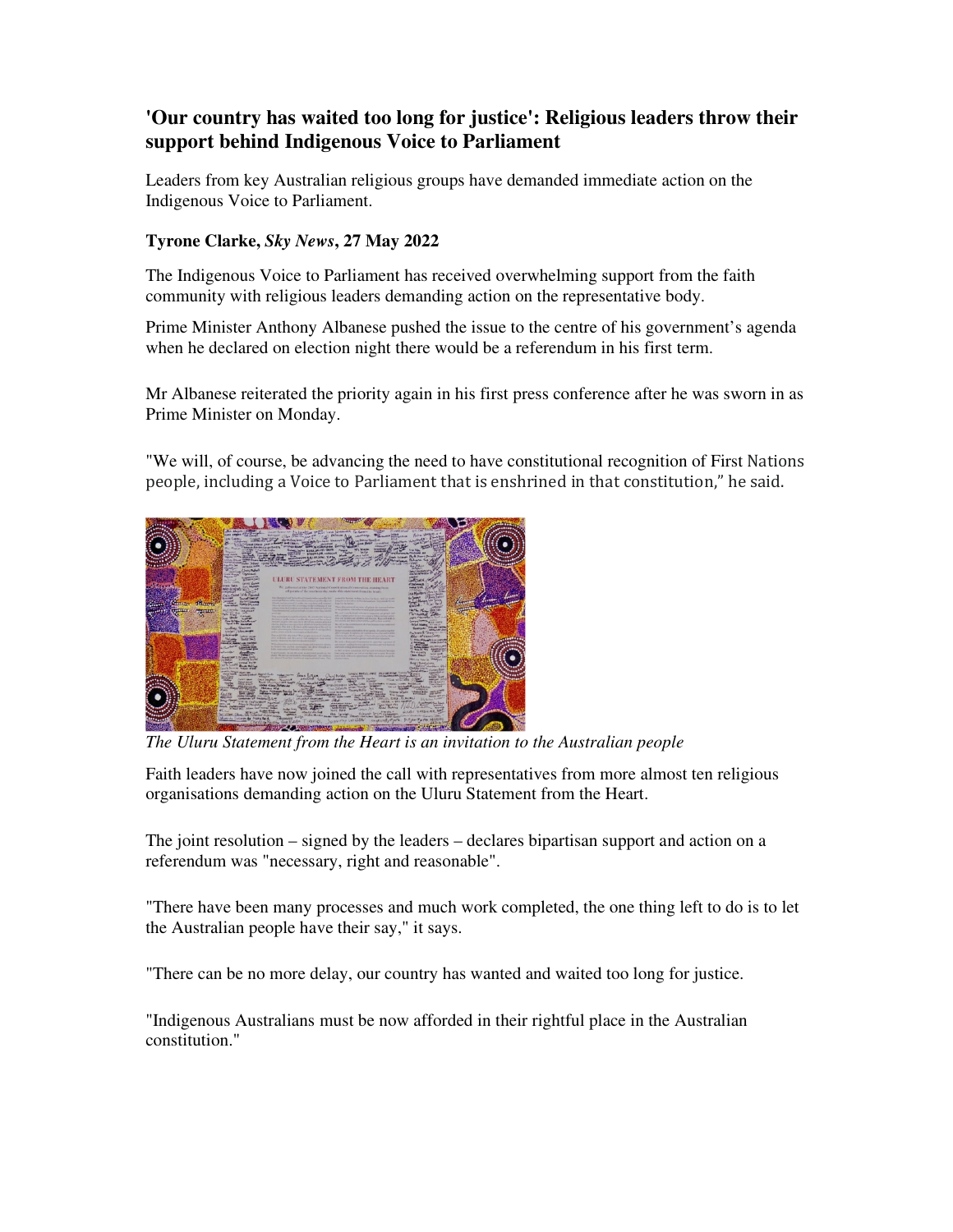## **'Our country has waited too long for justice': Religious leaders throw their support behind Indigenous Voice to Parliament**

Leaders from key Australian religious groups have demanded immediate action on the Indigenous Voice to Parliament.

## **Tyrone Clarke,** *Sky News***, 27 May 2022**

The Indigenous Voice to Parliament has received overwhelming support from the faith community with religious leaders demanding action on the representative body.

Prime Minister Anthony Albanese pushed the issue to the centre of his government's agenda when he declared on election night there would be a referendum in his first term.

Mr Albanese reiterated the priority again in his first press conference after he was sworn in as Prime Minister on Monday.

"We will, of course, be advancing the need to have constitutional recognition of First Nations people, including a Voice to Parliament that is enshrined in that constitution," he said.



*The Uluru Statement from the Heart is an invitation to the Australian people*

Faith leaders have now joined the call with representatives from more almost ten religious organisations demanding action on the Uluru Statement from the Heart.

The joint resolution – signed by the leaders – declares bipartisan support and action on a referendum was "necessary, right and reasonable".

"There have been many processes and much work completed, the one thing left to do is to let the Australian people have their say," it says.

"There can be no more delay, our country has wanted and waited too long for justice.

"Indigenous Australians must be now afforded in their rightful place in the Australian constitution."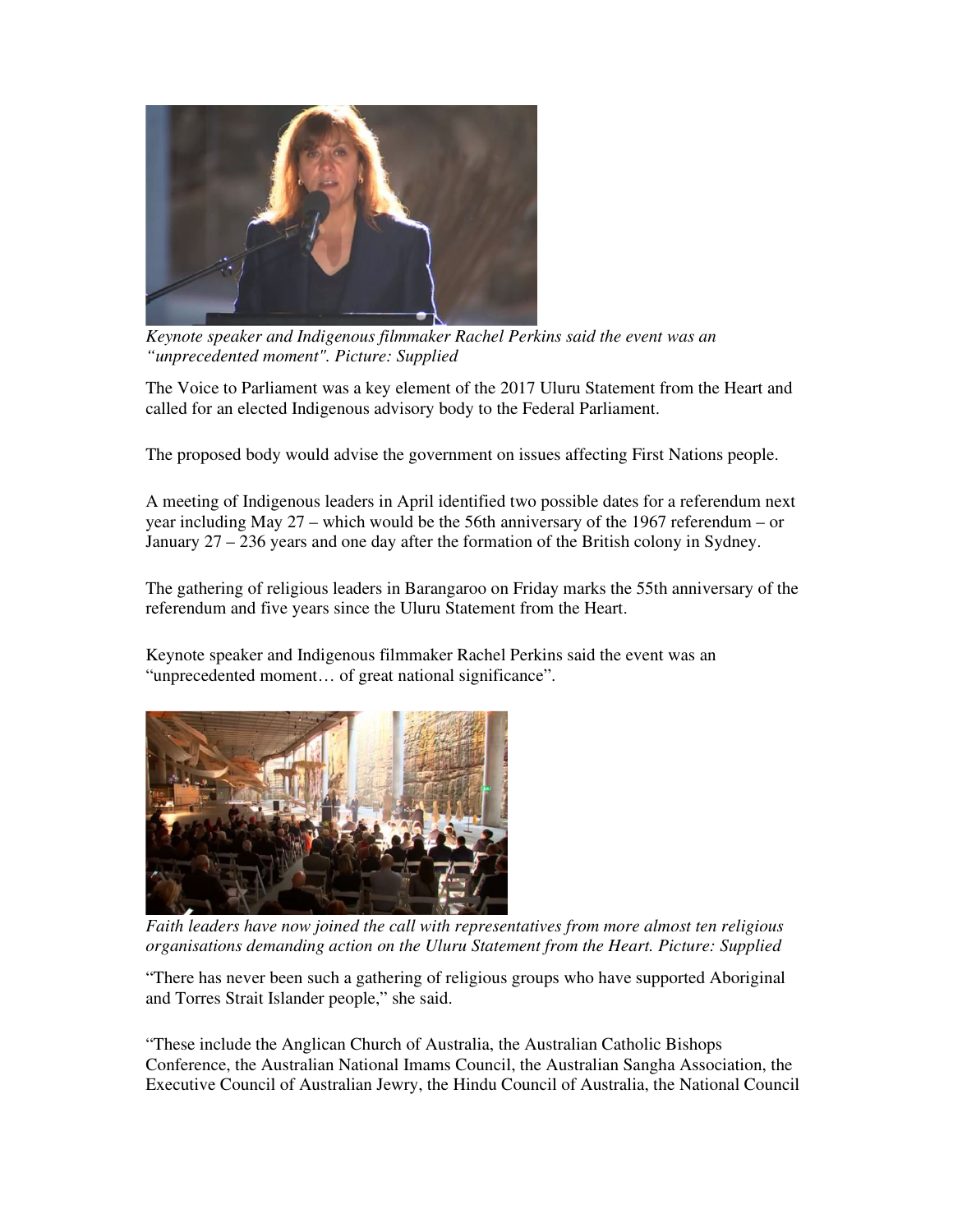

*Keynote speaker and Indigenous filmmaker Rachel Perkins said the event was an "unprecedented moment". Picture: Supplied* 

The Voice to Parliament was a key element of the 2017 Uluru Statement from the Heart and called for an elected Indigenous advisory body to the Federal Parliament.

The proposed body would advise the government on issues affecting First Nations people.

A meeting of Indigenous leaders in April identified two possible dates for a referendum next year including May 27 – which would be the 56th anniversary of the 1967 referendum – or January 27 – 236 years and one day after the formation of the British colony in Sydney.

The gathering of religious leaders in Barangaroo on Friday marks the 55th anniversary of the referendum and five years since the Uluru Statement from the Heart.

Keynote speaker and Indigenous filmmaker Rachel Perkins said the event was an "unprecedented moment… of great national significance".



*Faith leaders have now joined the call with representatives from more almost ten religious organisations demanding action on the Uluru Statement from the Heart. Picture: Supplied* 

"There has never been such a gathering of religious groups who have supported Aboriginal and Torres Strait Islander people," she said.

"These include the Anglican Church of Australia, the Australian Catholic Bishops Conference, the Australian National Imams Council, the Australian Sangha Association, the Executive Council of Australian Jewry, the Hindu Council of Australia, the National Council